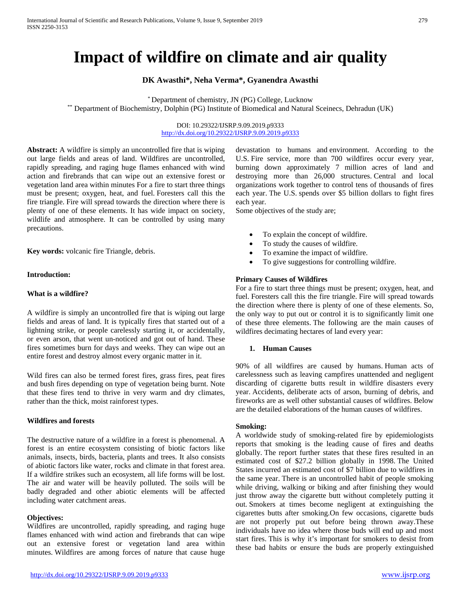# **Impact of wildfire on climate and air quality**

# **DK Awasthi\*, Neha Verma\*, Gyanendra Awasthi**

\* Department of chemistry, JN (PG) College, Lucknow \*\* Department of Biochemistry, Dolphin (PG) Institute of Biomedical and Natural Sceinecs, Dehradun (UK)

> DOI: 10.29322/IJSRP.9.09.2019.p9333 <http://dx.doi.org/10.29322/IJSRP.9.09.2019.p9333>

**Abstract:** A wildfire is simply an uncontrolled fire that is wiping out large fields and areas of land. Wildfires are uncontrolled, rapidly spreading, and raging huge flames enhanced with wind action and firebrands that can wipe out an extensive forest or vegetation land area within minutes For a fire to start three things must be present; oxygen, heat, and fuel. Foresters call this the fire triangle. Fire will spread towards the direction where there is plenty of one of these elements. It has wide impact on society, wildlife and atmosphere. It can be controlled by using many precautions.

**Key words:** volcanic fire Triangle, debris.

# **Introduction:**

#### **What is a wildfire?**

A wildfire is simply an uncontrolled fire that is wiping out large fields and areas of land. It is typically fires that started out of a lightning strike, or people carelessly starting it, or accidentally, or even arson, that went un-noticed and got out of hand. These fires sometimes burn for days and weeks. They can wipe out an entire forest and destroy almost every organic matter in it.

Wild fires can also be termed forest fires, grass fires, peat fires and bush fires depending on type of vegetation being burnt. Note that these fires tend to thrive in very warm and dry climates, rather than the thick, moist rainforest types.

# **Wildfires and forests**

The destructive nature of a wildfire in a forest is phenomenal. A forest is an entire ecosystem consisting of biotic factors like animals, insects, birds, bacteria, plants and trees. It also consists of abiotic factors like water, rocks and climate in that forest area. If a wildfire strikes such an ecosystem, all life forms will be lost. The air and water will be heavily polluted. The soils will be badly degraded and other abiotic elements will be affected including water catchment areas.

# **Objectives:**

Wildfires are uncontrolled, rapidly spreading, and raging huge flames enhanced with wind action and firebrands that can wipe out an extensive forest or vegetation land area within minutes. Wildfires are among forces of nature that cause huge

devastation to humans and [environment.](https://www.eartheclipse.com/environment/10-striking-reasons-environmental-degradation.html) According to the U.S. Fire service, more than 700 wildfires occur every year, burning down approximately 7 million acres of land and destroying more than 26,000 structures. Central and local organizations work together to control tens of thousands of fires each year. The U.S. spends over \$5 billion dollars to fight fires each year.

Some objectives of the study are;

- To explain the concept of wildfire.
- To study the causes of wildfire.
- To examine the impact of wildfire.
- To give suggestions for controlling wildfire.

# **Primary Causes of Wildfires**

For a fire to start three things must be present; oxygen, heat, and fuel. Foresters call this the fire triangle. Fire will spread towards the direction where there is plenty of one of these elements. So, the only way to put out or control it is to significantly limit one of these three elements. The following are the main causes of wildfires decimating hectares of land every year:

# **1. Human Causes**

90% of all wildfires are caused by humans. Human acts of carelessness such as leaving campfires unattended and negligent discarding of cigarette butts result in wildfire disasters every year. Accidents, deliberate acts of arson, burning of debris, and fireworks are as well other substantial causes of wildfires. Below are the detailed elaborations of the human causes of wildfires.

#### **Smoking:**

A worldwide study of smoking-related fire by epidemiologists reports that smoking is the leading cause of fires and deaths globally. The report further states that these fires resulted in an estimated cost of \$27.2 billion globally in 1998. The United States incurred an estimated cost of \$7 billion due to wildfires in the same year. There is an uncontrolled habit of people smoking while driving, walking or biking and after finishing they would just throw away the cigarette butt without completely putting it out. Smokers at times become negligent at extinguishing the cigarettes butts after smoking.On few occasions, cigarette buds are not properly put out before being thrown away.These individuals have no idea where those buds will end up and most start fires. This is why it's important for smokers to desist from these bad habits or ensure the buds are properly extinguished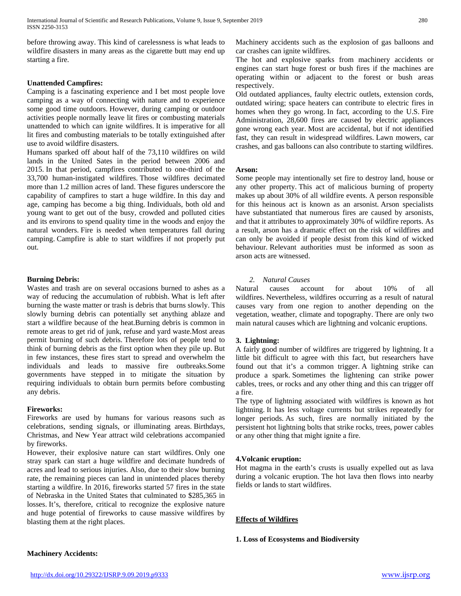before throwing away. This kind of carelessness is what leads to wildfire disasters in many areas as the cigarette butt may end up starting a fire.

# **Unattended Campfires:**

Camping is a fascinating experience and I bet most people love camping as a way of connecting with nature and to experience some good time outdoors. However, during camping or outdoor activities people normally leave lit fires or combusting materials unattended to which can ignite wildfires. It is imperative for all lit fires and combusting materials to be totally extinguished after use to avoid wildfire disasters.

Humans sparked off about half of the 73,110 wildfires on wild lands in the United Sates in the period between 2006 and 2015. In that period, campfires contributed to one-third of the 33,700 human-instigated wildfires. Those wildfires decimated more than 1.2 million acres of land. These figures underscore the capability of campfires to start a huge wildfire. In this day and age, camping has become a big thing. Individuals, both old and young want to get out of the busy, crowded and polluted cities and its environs to spend quality time in the woods and enjoy the natural wonders. Fire is needed when temperatures fall during camping. Campfire is able to start wildfires if not properly put out.

# **Burning Debris:**

Wastes and trash are on several occasions burned to ashes as a way of reducing the accumulation of rubbish. What is left after burning the waste matter or trash is debris that burns slowly. This slowly burning debris can potentially set anything ablaze and start a wildfire because of the heat.Burning debris is common in remote areas to get rid of junk, refuse and yard waste.Most areas permit burning of such debris. Therefore lots of people tend to think of burning debris as the first option when they pile up. But in few instances, these fires start to spread and overwhelm the individuals and leads to massive fire outbreaks.Some governments have stepped in to mitigate the situation by requiring individuals to obtain burn permits before combusting any debris.

### **Fireworks:**

Fireworks are used by humans for various reasons such as celebrations, sending signals, or illuminating areas. Birthdays, Christmas, and New Year attract wild celebrations accompanied by fireworks.

However, their explosive nature can start wildfires. Only one stray spark can start a huge wildfire and decimate hundreds of acres and lead to serious injuries. Also, due to their slow burning rate, the remaining pieces can land in unintended places thereby starting a wildfire. In 2016, fireworks started 57 fires in the state of Nebraska in the United States that culminated to \$285,365 in losses. It's, therefore, critical to recognize the explosive nature and huge potential of fireworks to cause massive wildfires by blasting them at the right places.

Machinery accidents such as the explosion of gas balloons and car crashes can ignite wildfires.

The hot and explosive sparks from machinery accidents or engines can start huge forest or bush fires if the machines are operating within or adjacent to the forest or bush areas respectively.

Old outdated appliances, faulty electric outlets, extension cords, outdated wiring; space heaters can contribute to electric fires in homes when they go wrong. In fact, according to the U.S. Fire Administration, 28,600 fires are caused by electric appliances gone wrong each year. Most are accidental, but if not identified fast, they can result in widespread wildfires. Lawn mowers, car crashes, and gas balloons can also contribute to starting wildfires.

#### **Arson:**

Some people may intentionally set fire to destroy land, house or any other property. This act of malicious burning of property makes up about 30% of all wildfire events. A person responsible for this heinous act is known as an arsonist. Arson specialists have substantiated that numerous fires are caused by arsonists, and that it attributes to approximately 30% of wildfire reports. As a result, arson has a dramatic effect on the risk of wildfires and can only be avoided if people desist from this kind of wicked behaviour. Relevant authorities must be informed as soon as arson acts are witnessed.

# *2. Natural Causes*

Natural causes account for about 10% of all wildfires. Nevertheless, wildfires occurring as a result of natural causes vary from one region to another depending on the vegetation, weather, climate and topography. There are only two main natural causes which are lightning and volcanic eruptions.

#### **3. Lightning:**

A fairly good number of wildfires are triggered by lightning. It a little bit difficult to agree with this fact, but researchers have found out that it's a common trigger. A lightning strike can produce a spark. Sometimes the lightening can strike power cables, trees, or rocks and any other thing and this can trigger off a fire.

The type of lightning associated with wildfires is known as hot lightning. It has less voltage currents but strikes repeatedly for longer periods. As such, fires are normally initiated by the persistent hot lightning bolts that strike rocks, trees, power cables or any other thing that might ignite a fire.

# **4.Volcanic eruption:**

Hot magma in the earth's crusts is usually expelled out as lava during a volcanic eruption. The hot lava then flows into nearby fields or lands to start wildfires.

# **Effects of Wildfires**

**1. Loss of Ecosystems and Biodiversity**

# **Machinery Accidents:**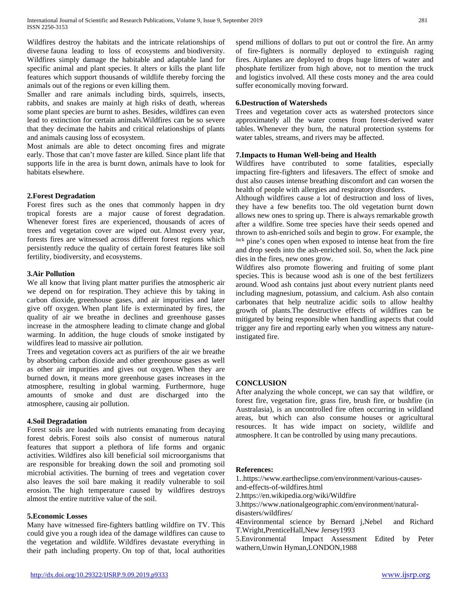Wildfires destroy the habitats and the intricate relationships of diverse fauna leading to loss of ecosystems and [biodiversity.](https://www.eartheclipse.com/ecosystem/why-is-biodiversity-important-and-reasons-for-loss-of-biodiversity.html)  Wildfires simply damage the habitable and adaptable land for specific animal and plant species. It alters or kills the plant life features which support thousands of wildlife thereby forcing the animals out of the regions or even killing them.

Smaller and rare animals including birds, squirrels, insects, rabbits, and snakes are mainly at high risks of death, whereas some plant species are burnt to ashes. Besides, wildfires can even lead to extinction for certain animals.Wildfires can be so severe that they decimate the habits and critical relationships of plants and animals causing loss of ecosystem.

Most animals are able to detect oncoming fires and migrate early. Those that can't move faster are killed. Since plant life that supports life in the area is burnt down, animals have to look for habitats elsewhere.

# **2.Forest Degradation**

Forest fires such as the ones that commonly happen in dry tropical forests are a major cause of [forest degradation.](https://www.eartheclipse.com/environment/solid-reasons-stop-deforestation-you-need-know-today.html)  Whenever forest fires are experienced, thousands of acres of trees and vegetation cover are wiped out. Almost every year, forests fires are witnessed across different forest regions which persistently reduce the quality of certain forest features like soil fertility, biodiversity, and ecosystems.

# **3.Air Pollution**

We all know that living plant matter purifies the atmospheric air we depend on for respiration. They achieve this by taking in carbon dioxide, [greenhouse gases,](https://www.eartheclipse.com/global-warming/greenhouse-effect-greenhouse-gases.html) and air impurities and later give off oxygen. When plant life is exterminated by fires, the quality of air we breathe in declines and greenhouse gasses increase in the atmosphere leading to [climate change](https://www.eartheclipse.com/climate-change/is-climate-change-real.html) and [global](https://www.eartheclipse.com/global-warming/10-reasons-why-global-warming-is-real.html)  [warming.](https://www.eartheclipse.com/global-warming/10-reasons-why-global-warming-is-real.html) In addition, the huge clouds of smoke instigated by wildfires lead to [massive air pollution.](https://www.eartheclipse.com/pollution/primary-causes-of-air-pollution.html)

Trees and vegetation covers act as purifiers of the air we breathe by absorbing carbon dioxide and other greenhouse gases as well as other air impurities and gives out oxygen. When they are burned down, it means more greenhouse gases increases in the atmosphere, resulting in [global warming.](https://www.eartheclipse.com/global-warming/20-devastating-effects-of-global-warming.html) Furthermore, huge amounts of smoke and dust are discharged into the atmosphere, [causing air pollution.](https://www.eartheclipse.com/pollution/brilliant-solutions-to-air-pollution.html)

# **4.Soil Degradation**

Forest soils are loaded with nutrients emanating from decaying forest debris. Forest soils also consist of numerous natural features that support a plethora of life forms and organic activities. Wildfires also kill beneficial soil microorganisms that are responsible for breaking down the soil and promoting soil microbial activities. The burning of trees and vegetation cover also leaves the soil bare making it readily vulnerable to soil erosion. The high temperature caused by wildfires destroys almost the entire nutritive value of the soil.

#### **5.Economic Losses**

Many have witnessed fire-fighters battling wildfire on TV. This could give you a rough idea of the damage wildfires can cause to the vegetation and wildlife. Wildfires devastate everything in their path including property. On top of that, local authorities spend millions of dollars to put out or control the fire. An army of fire-fighters is normally deployed to extinguish raging fires. Airplanes are deployed to drops huge litters of water and phosphate fertilizer from high above, not to mention the truck and logistics involved. All these costs money and the area could suffer economically moving forward.

# **6.Destruction of Watersheds**

Trees and vegetation cover acts as watershed protectors since approximately all the water comes from forest-derived water tables. Whenever they burn, the natural protection systems for water tables, streams, and rivers may be affected.

# **7.Impacts to Human Well-being and Health**

Wildfires have contributed to some fatalities, especially impacting fire-fighters and lifesavers. The effect of smoke and dust also causes intense breathing discomfort and can worsen the health of people with allergies and respiratory disorders.

Although wildfires cause a lot of destruction and loss of lives, they have a few benefits too. The old vegetation burnt down allows new ones to spring up. There is always remarkable growth after a wildfire. Some tree species have their seeds opened and thrown to ash-enriched soils and begin to grow. For example, the Jack pine's cones open when exposed to intense heat from the fire and drop seeds into the ash-enriched soil. So, when the Jack pine dies in the fires, new ones grow.

Wildfires also promote flowering and fruiting of some plant species. This is because wood ash is one of the best fertilizers around. Wood ash contains just about every nutrient plants need including magnesium, potassium, and calcium. Ash also contain carbonates that help neutralize acidic soils to allow healthy growth of plants.The destructive effects of wildfires can be mitigated by being responsible when handling aspects that could trigger any fire and reporting early when you witness any natureinstigated fire.

#### **CONCLUSION**

After analyzing the whole concept, we can say that wildfire, or forest fire, vegetation fire, grass fire, brush fire, or bushfire (in Australasia), is an uncontrolled fire often occurring in wildland areas, but which can also consume houses or agricultural resources. It has wide impact on society, wildlife and atmosphere. It can be controlled by using many precautions.

# **References:**

1.[.https://www.eartheclipse.com/environment/various-causes](https://www.eartheclipse.com/environment/various-causes-and-effects-of-wildfires.html)[and-effects-of-wildfires.html](https://www.eartheclipse.com/environment/various-causes-and-effects-of-wildfires.html) 

[2.https://en.wikipedia.org/wiki/Wildfire](https://en.wikipedia.org/wiki/Wildfire)

[3.https://www.nationalgeographic.com/environment/natural](https://www.nationalgeographic.com/environment/natural-disasters/wildfires/)[disasters/wildfires/](https://www.nationalgeographic.com/environment/natural-disasters/wildfires/)

4Environmental science by Bernard j,Nebel and Richard T.Wright,PrenticeHall,New Jersey1993

5.Environmental Impact Assessment Edited by Peter wathern,Unwin Hyman,LONDON,1988